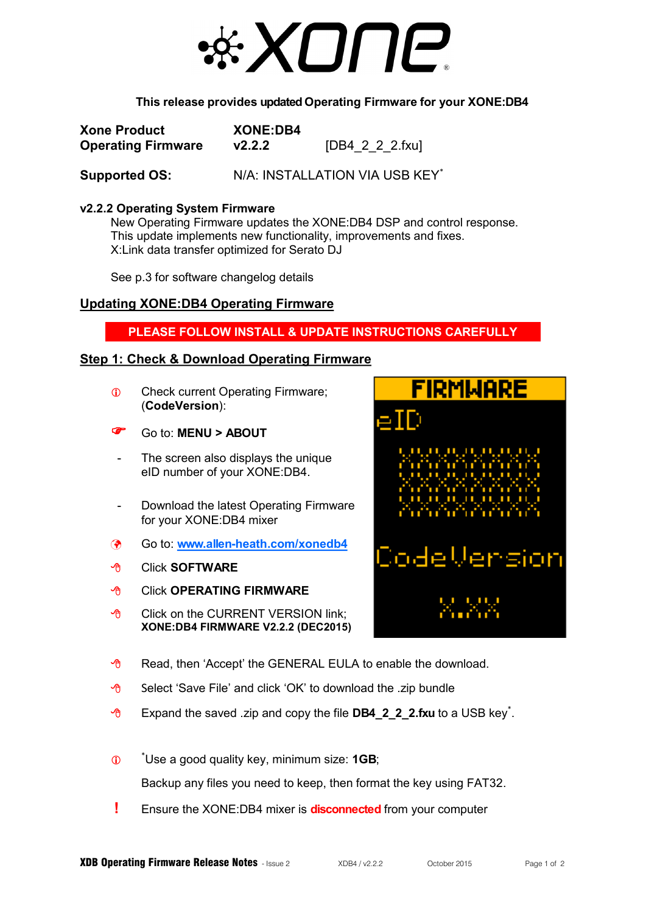

#### **This release provides updated Operating Firmware for your XONE:DB4**

| <b>Xone Product</b>       | <b>XONE:DB4</b> |                 |
|---------------------------|-----------------|-----------------|
| <b>Operating Firmware</b> | V2.2.2          | [DB4_2_2_2.fxu] |

Supported OS: N/A: INSTALLATION VIA USB KEY<sup>\*</sup>

#### **v2.2.2 Operating System Firmware**

New Operating Firmware updates the XONE:DB4 DSP and control response. This update implements new functionality, improvements and fixes. X:Link data transfer optimized for Serato DJ

See p.3 for software changelog details

# **Updating XONE:DB4 Operating Firmware**

## **PLEASE FOLLOW INSTALL & UPDATE INSTRUCTIONS CAREFULLY**

## **Step 1: Check & Download Operating Firmware**

- **Check current Operating Firmware;** (**CodeVersion**):
- Go to: **MENU > ABOUT**
- The screen also displays the unique eID number of your XONE:DB4.
- Download the latest Operating Firmware for your XONE:DB4 mixer
- Go to: **www.allen-[heath.com/xonedb4](http://www.allen-heath.com/ahproducts/xonedb4/)**
- Click **SOFTWARE**
- Click **OPERATING FIRMWARE**
- **<sup>®</sup>** Click on the CURRENT VERSION link: **XONE:DB4 FIRMWARE V2.2.2 (DEC2015)**



- $\Theta$  Read, then 'Accept' the GENERAL EULA to enable the download.
- $\Theta$  Select 'Save File' and click 'OK' to download the .zip bundle
- **<sup>-</sup>** Expand the saved .zip and copy the file **DB4\_2\_2\_2.fxu** to a USB key<sup>\*</sup>.
- $\overline{a}$ \*Use a good quality key, minimum size: **1GB**;

Backup any files you need to keep, then format the key using FAT32.

**!** Ensure the XONE:DB4 mixer is **disconnected** from your computer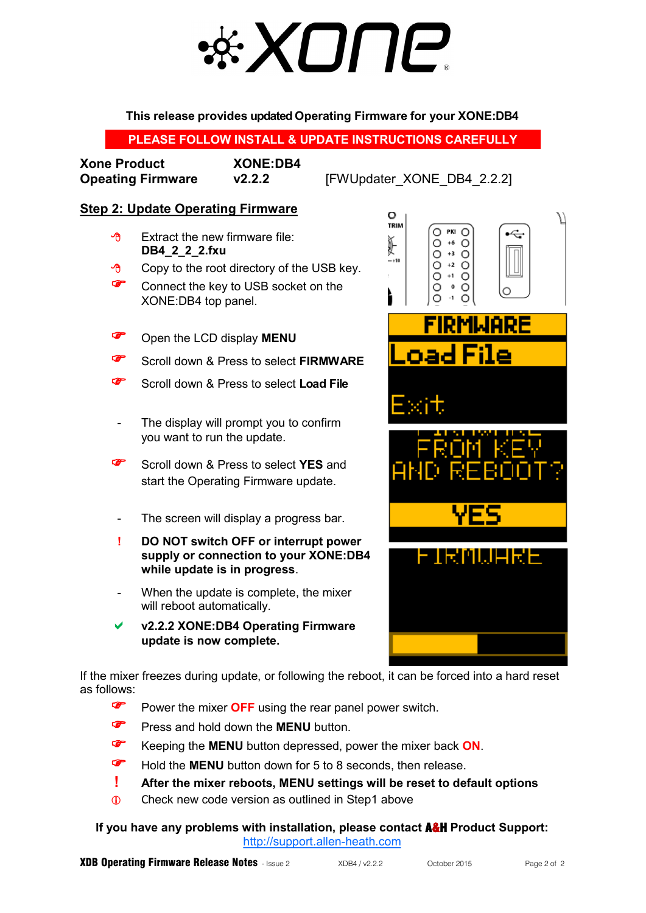# \* ХОПР®

**This release provides updated Operating Firmware for your XONE:DB4**

**PLEASE FOLLOW INSTALL & UPDATE INSTRUCTIONS CAREFULLY**

| <b>Xone Product</b>      |  |
|--------------------------|--|
| <b>Opeating Firmware</b> |  |

**Xone Product XONE:DB4** 

**v2.2.2 [FWUpdater\_XONE\_DB4\_2.2.2]** 

# **Step 2: Update Operating Firmware**

- $\Theta$  Extract the new firmware file: **DB4\_2\_2\_2.fxu**
- $\Theta$  Copy to the root directory of the USB key.
- Connect the key to USB socket on the XONE:DB4 top panel.
- Open the LCD display **MENU**
- **Scroll down & Press to select FIRMWARE**
- Scroll down & Press to select **Load File**
- The display will prompt you to confirm you want to run the update.
- **Scroll down & Press to select YES** and start the Operating Firmware update.
- The screen will display a progress bar.
- **! DO NOT switch OFF or interrupt power supply or connection to your XONE:DB4 while update is in progress**.
- When the update is complete, the mixer will reboot automatically.
- **v2.2.2 XONE:DB4 Operating Firmware update is now complete.**



If the mixer freezes during update, or following the reboot, it can be forced into a hard reset as follows:

- **P** Power the mixer **OFF** using the rear panel power switch.
- **Press and hold down the MENU** button.
- Keeping the **MENU** button depressed, power the mixer back **ON**.
- **F** Hold the **MENU** button down for 5 to 8 seconds, then release.
- **! After the mixer reboots, MENU settings will be reset to default options**
- **Check new code version as outlined in Step1 above**

**If you have any problems with installation, please contact** A&H **Product Support:** [http://support.allen](http://support.allen-heath.com/Base/UserRegistration/Register)-heath.com